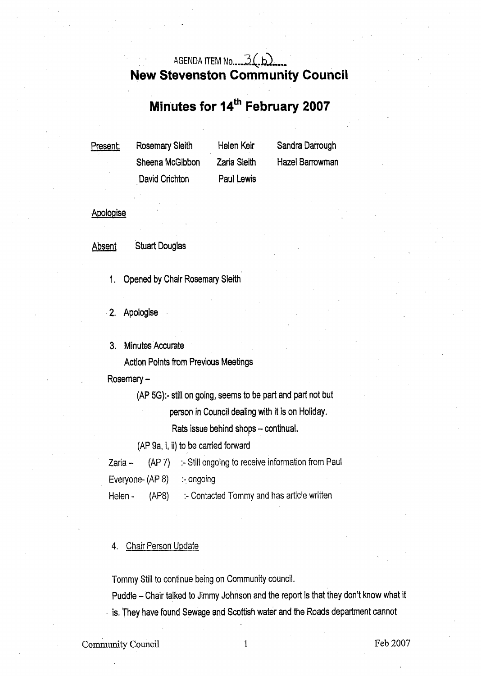## AGENDA ITEM **No** .-.- **Z(.b>-** ---. **New Stevenston Community Council**

# **Minutes for 14<sup>th</sup> February 2007**

| <u>Present:</u> | Rosemary Sleith | Helen Keir          | Sandra Darrough        |
|-----------------|-----------------|---------------------|------------------------|
|                 | Sheena McGibbon | <b>Zaria Sleith</b> | <b>Hazel Barrowman</b> |
|                 | David Crichton  | Paul Lewis          |                        |

### Apologise

Absent Stuart Douglas

1, Opened by Chair Rosemary Sleith

**2.** Apologise

3. Minutes Accurate

Action Points from Previous Meetings

Rosemary -

(AP **5G):-** still on going, seems to be part and part not but

person in Council dealing with it is on Holiday.

Rats issue behind shops - continual.

**(AP** 9a, i, ii) to be carried forward

Zaria - **(AP** 7) :- Still ongoing to receive information from Paul

Everyone- **(AP** 8) :- ongoing

Helen - (AP8) :- Contacted Tommy and has article written

#### 4. Chair Person Update

Tommy Still to continue being on Community council.

Puddle - Chair talked to Jimmy Johnson and the report is that they don't know what it . is. They have found Sewage and Scottish water and the Roads department cannot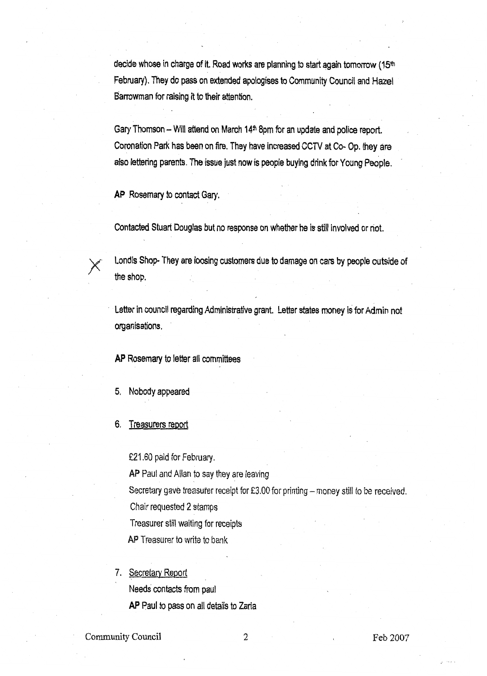decide whose in charge of it. Road works are planning to start again tomorrow (15th February). They do pass on extended apologises to Community Council and Hazel Barrowman for raising it to their attention.

Gary Thomson - Will attend on March **14\*** 8pm for an update and police report. Coronation Park has been on fire. They have increased CCTV at CO- Op. they are also lettering parents. The issue just now is people buying drink for Young People.

**AP** Rosemary to contact Gary.

Contacted Stuart Douglas but no response on whether he is still involved or not.



AP Rosemary to contact Gary.<br>
Contacted Stuart Douglas but no response on whether he is still involved or not.<br>
Londis Shop- They are loosing customers due to damage on cars by people outside of<br>
the shop.

Letter in council regarding Administrative grant. Letter states money *is* for Admin not organisations,

**AP** Rosemary to letter all committees

- *5,* Nobody appeared
- 6. Treasurers report

£21.60 paid for February.

**AP** Paul and Allan to say they are leaving

Secretary gave treasurer receipt for £3.00 for printing - money still to be received.

Chair requested 2 stamps

Treasurer still waiting for receipts

**AP** Treasurer to write to bank

7. Secretary Report

Needs contacts from paul

**AP** Paul to pass on all details to Zaria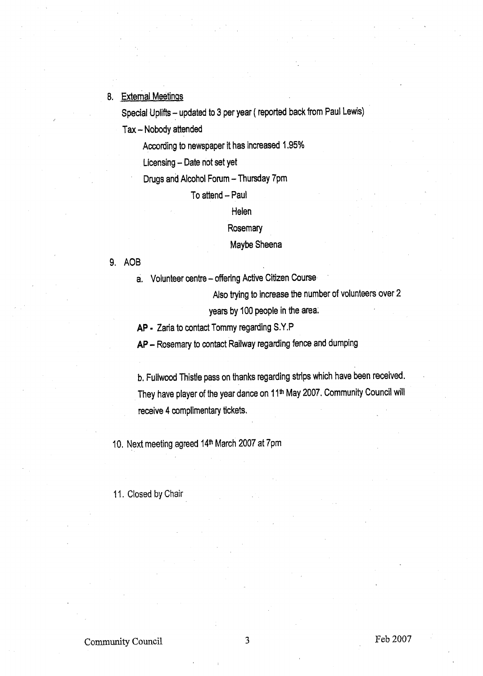### **8.** External Meetings

Special Uplifts - updated to 3 per year ( reported back from Paul Lewis)

Tax - Nobody attended

According to newspaper it has increased 1.95%

Licensing - Date not set yet

Drugs and Alcohol Forum - Thursday 7pm

#### To attend - Paul

Helen

**Rosemary** 

### Maybe Sheena

#### 9. AOB

**a.** Volunteer centre - offering Active Citizen Course

Also trying to increase the number of volunteers over 2

years by 100 people in the area.

**AP** - Zaria to contact Tommy regarding **S.Y** ,P

**AP** - Rosemary to contact Railway regarding fence and dumping

**b,** Fullwood Thistle pass on thanks regarding strips which have been received. They have player of the year dance on 11<sup>th</sup> May 2007. Community Council will receive **4** complimentary tickets.

10. Next meeting agreed 14\* March 2007 at 7pm

11. Closed by Chair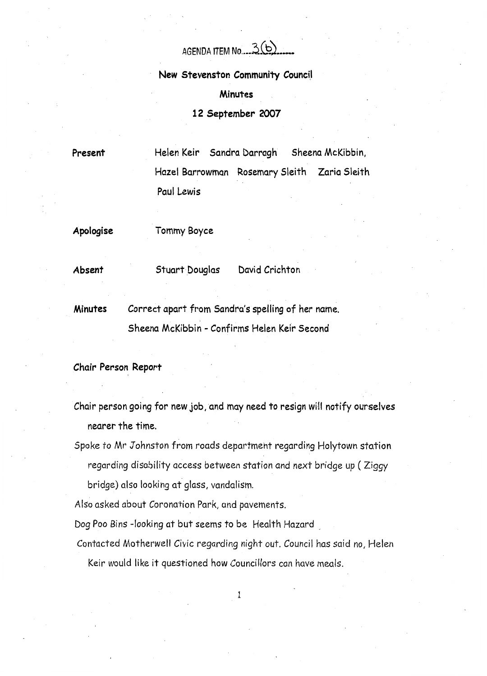AGENDA ITEM No. 3(b)

**New Stevenston Community Council** 

**Minutes** 

**12 September 2007** 

**Present** 

Helen Keir Sandra Darragh Sheena McKibbin, Hazel Barrowman Rosemary Sleith Zaria Sleith Paul **Lewis** 

**Apologise** 

Tommy Boyce

**Absent** 

Stuart Douglas David Crichton

**Minutes** Correct apart from Sandra's spelling of her name. Sheena McKibbin - Confirms Helen Keir Second

**Chair Person Report** 

Chair person going for new job, and may need to resign will notify ourselves nearer the time.

Spoke to Mr Johnston from roads department regarding Holytown station regarding disability access between station and next bridge up ( Ziggy bridge) also looking at glass, vandalism.

Also asked about Coronation Park, and pavements.

Dog Poo Bins -looking at but seems to be Health Hazard

Contacted Motherwell Civic regarding night out. Council has said no, Helen Keir would like it questioned how Councillors can have meals.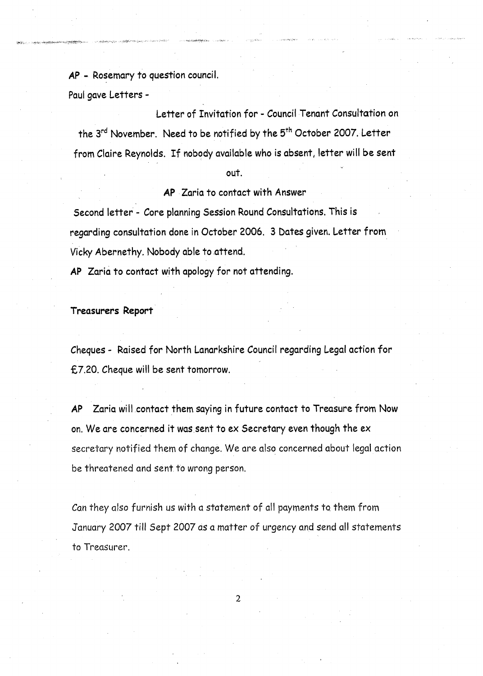**AP** - Rosemary to question council.

Paul gave Letters -

Letter of Invitation for - Council Tenant Consultation on the **3rd** November. Need to be notified by the 5th October 2007. Letter the 3<sup>rd</sup> November. Need to be notified by the 5<sup>th</sup> October 2007. Letter<br>from Claire Reynolds. If nobody available who is absent, letter will be sent

#### out.

## **AP** Zaria to contact with Answer

Second letter - Core planning Session Round Consultations. This **is**  regarding consultation done in October 2006. 3 **bates** given. Letter from Vicky Abernethy. Nobody able to attend.

**AP** Zaria to contact with apology for not attending.

**Treasurers Report** 

Cheques - Raised for North Lanarkshire Council regarding Legal action for €7.20. Cheque will be sent tomorrow.

**AP** Zaria will contact them saying in future contact to Treasure from Now on. We are concerned it was sent to ex Secretary even though the *ex*  secretary notified them of change. We are also concerned about legal action be threatened and sent to wrong person.

Can they also furnish us with a statement of all payments ta them from January 2007 till Sept 2007 as a matter *of* urgency and send all statements to Treasurer.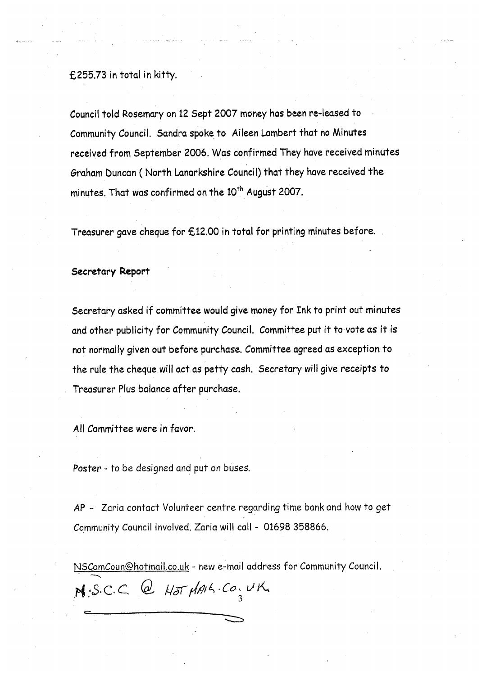#### **€255.73** in total in kitty.

Council told Rosemary on **12** Sept **2007** money has been re-leased to Community Council, Sandra spoke to Aileen Lambert that no Minutes received from September 2006. Was confirmed They have received minutes Graham buncan ( North Lanarkshire Council) that they have received the minutes. That was confirmed on the 10<sup>th</sup> August 2007.

Treasurer gave cheque for **€12.00** in total for printing minutes before.

#### **Secretary Report**

Secretary asked if committee would give money for Ink to print out minutes and other publicity for Community Council, Committee put it to vote **us** it is not normally given out before purchase. Committee agreed as exception to the rule the cheque will act as petty cash. Secretary will give receipts to Treasurer **Plus** balance after purchase.

**All** Committee were in favor.

*c* 

*Poster* - to be designed and put **on** buses.

**AP** - Zaria contact Volunteer centre regarding time bank and how to get Community Council involved, Zaria will call - 01698 358866.

NSComCoun@hotmail.co.uk - new e-mail address for Community Council.<br> **7** *8 · S.C.C. @ Hot*  $\mu$ *MA · Co, UK*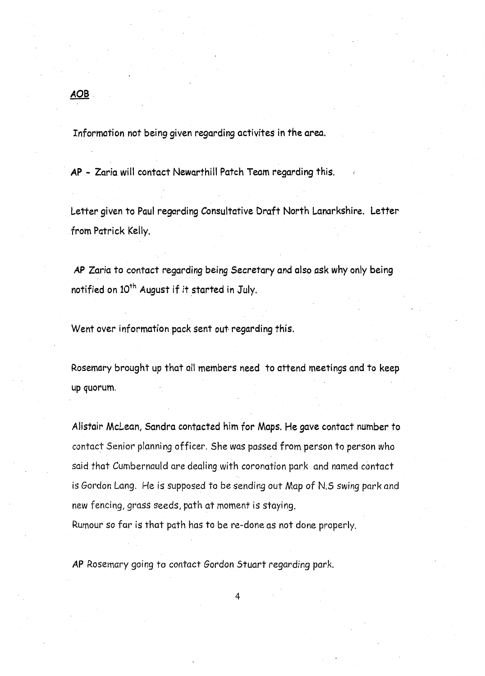Information not being given regarding activites in the area.

*AP* - Zaria will contact Newarthill Patch Team regarding this. **<sup>1</sup>**

Letter given to Paul regarding Consultative Draft North Lanarkshire. Letter from Patrick Kelly.

*AP* Zaria to contact regarding being Secretary and also ask why only being notified on 10<sup>th</sup> August if it started in July.

Went over information pack sent out regarding this.

Rosemary brought up that all members need to attend meetings and to keep up quorum.

Alistair McLean, Sandra contgcted him for Maps. He gave contact number to contact Senior planning officer. She was passed from person to person who said that Cumbernauld are dealing with coronation park and named contact is Gordon Lang. He is supposed to be sending out Map *af* N.5 swing park and new fencing, grass seeds, path at moment **is** staying.

Rumour so far **is** that path has to be re-done **as** not done properly.

**AP** Rosemary going to coniact Gordon Stuart regarding park.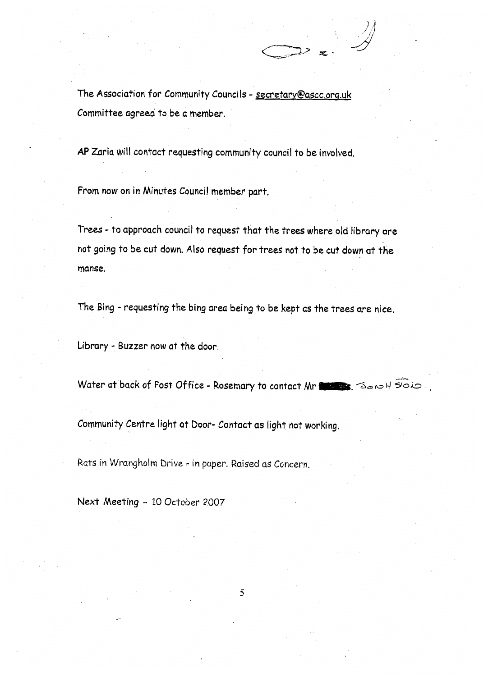The Association for Community Councils - [secretarv@ascc.orq.uk](mailto:secretarv@ascc.orq.uk) Committee agreed to be a member.

**AP** Zaria will contact requesting community council to be involved.

From now on **in** Minutes Council member part.

Trees - to approach council to request that the trees where old library are not going to be cut down. **Also** request for trees not to be cut down at the manse.

The Bing - requesting the bing area being to be kept as the trees are nice.

Library - Buzzer now at the door.

Water at back of Post Office - Rosemary to contact Mr **14 April 190** 

Community Centre light at Door- Contact as light not working.

Rats in Wrangholm Drive - in paper. **Raised** as Concern.

**Next** Meeting - 10 October 2007